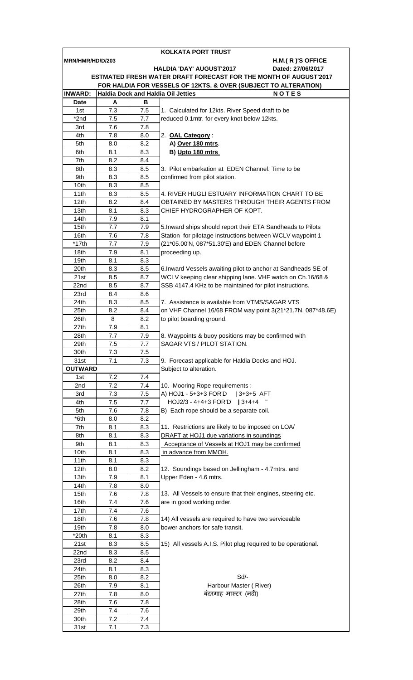| KOLKATA PORT TRUST |            |            |                                                                         |  |  |  |
|--------------------|------------|------------|-------------------------------------------------------------------------|--|--|--|
| MRN/HMR/HD/D/203   |            |            | H.M.(R)'S OFFICE                                                        |  |  |  |
|                    |            |            | Dated: 27/06/2017<br><b>HALDIA 'DAY' AUGUST'2017</b>                    |  |  |  |
|                    |            |            | <b>ESTMATED FRESH WATER DRAFT FORECAST FOR THE MONTH OF AUGUST'2017</b> |  |  |  |
|                    |            |            | FOR HALDIA FOR VESSELS OF 12KTS. & OVER (SUBJECT TO ALTERATION)         |  |  |  |
| <b>INWARD:</b>     |            |            | <b>Haldia Dock and Haldia Oil Jetties</b><br><b>NOTES</b>               |  |  |  |
| <b>Date</b>        | A          | в          |                                                                         |  |  |  |
| 1st                | 7.3        | 7.5        | 1. Calculated for 12kts. River Speed draft to be                        |  |  |  |
| *2nd               | 7.5        | 7.7        | reduced 0.1mtr. for every knot below 12kts.                             |  |  |  |
| 3rd                | 7.6        | 7.8        |                                                                         |  |  |  |
| 4th                | 7.8        | 8.0        | 2. OAL Category:                                                        |  |  |  |
| 5th                | 8.0        | 8.2        | A) Over 180 mtrs.                                                       |  |  |  |
| 6th                | 8.1        | 8.3        | B) Upto 180 mtrs                                                        |  |  |  |
| 7th<br>8th         | 8.2<br>8.3 | 8.4<br>8.5 | 3. Pilot embarkation at EDEN Channel. Time to be                        |  |  |  |
| 9th                | 8.3        | 8.5        | confirmed from pilot station.                                           |  |  |  |
| 10th               | 8.3        | 8.5        |                                                                         |  |  |  |
| 11th               | 8.3        | 8.5        | 4. RIVER HUGLI ESTUARY INFORMATION CHART TO BE                          |  |  |  |
| 12th               | 8.2        | 8.4        | OBTAINED BY MASTERS THROUGH THEIR AGENTS FROM                           |  |  |  |
| 13th               | 8.1        | 8.3        | CHIEF HYDROGRAPHER OF KOPT.                                             |  |  |  |
| 14th               | 7.9        | 8.1        |                                                                         |  |  |  |
| 15th               | 7.7        | 7.9        | 5. Inward ships should report their ETA Sandheads to Pilots             |  |  |  |
| 16th               | 7.6        | 7.8        | Station for pilotage instructions between WCLV waypoint 1               |  |  |  |
| $*17th$            | 7.7        | 7.9        | (21*05.00'N, 087*51.30'E) and EDEN Channel before                       |  |  |  |
| 18th               | 7.9        | 8.1        | proceeding up.                                                          |  |  |  |
| 19th               | 8.1        | 8.3        |                                                                         |  |  |  |
| 20th               | 8.3        | 8.5        | 6. Inward Vessels awaiting pilot to anchor at Sandheads SE of           |  |  |  |
| 21st               | 8.5        | 8.7        | WCLV keeping clear shipping lane. VHF watch on Ch.16/68 &               |  |  |  |
| 22nd               | 8.5        | 8.7        | SSB 4147.4 KHz to be maintained for pilot instructions.                 |  |  |  |
| 23rd               | 8.4        | 8.6        |                                                                         |  |  |  |
| 24th               | 8.3        | 8.5        | 7. Assistance is available from VTMS/SAGAR VTS                          |  |  |  |
| 25th               | 8.2        | 8.4        | on VHF Channel 16/68 FROM way point 3(21*21.7N, 087*48.6E)              |  |  |  |
| 26th               | 8          | 8.2        | to pilot boarding ground.                                               |  |  |  |
| 27th               | 7.9        | 8.1        |                                                                         |  |  |  |
| 28th               | 7.7        | 7.9        | 8. Waypoints & buoy positions may be confirmed with                     |  |  |  |
| 29th               | 7.5        | 7.7        | SAGAR VTS / PILOT STATION.                                              |  |  |  |
| 30th               | 7.3        | 7.5        |                                                                         |  |  |  |
| 31st               | 7.1        | 7.3        | 9. Forecast applicable for Haldia Docks and HOJ.                        |  |  |  |
| <b>OUTWARD</b>     |            |            | Subject to alteration.                                                  |  |  |  |
| 1st                | 7.2        | 7.4        |                                                                         |  |  |  |
| 2nd                | 7.2        | 7.4        | 10. Mooring Rope requirements :                                         |  |  |  |
| 3rd                | 7.3        | 7.5        | A) HOJ1 - 5+3+3 FOR'D<br>$ 3+3+5$ AFT                                   |  |  |  |
| 4th                | 7.5        | 7.7        | HOJ2/3 - 4+4+3 FOR'D<br>$ 3+4+4 $                                       |  |  |  |
| 5th                | 7.6        | 7.8        | B) Each rope should be a separate coil.                                 |  |  |  |
| *6th               | 8.0        | 8.2        |                                                                         |  |  |  |
| 7th                | 8.1        | 8.3        | 11. Restrictions are likely to be imposed on LOA/                       |  |  |  |
| 8th                | 8.1        | 8.3        | DRAFT at HOJ1 due variations in soundings                               |  |  |  |
| 9th<br>10th        | 8.1<br>8.1 | 8.3<br>8.3 | Acceptance of Vessels at HOJ1 may be confirmed<br>in advance from MMOH. |  |  |  |
| 11th               | 8.1        | 8.3        |                                                                         |  |  |  |
| 12th               | 8.0        | 8.2        | 12. Soundings based on Jellingham - 4.7mtrs. and                        |  |  |  |
| 13th               | 7.9        | 8.1        | Upper Eden - 4.6 mtrs.                                                  |  |  |  |
| 14th               | 7.8        | 8.0        |                                                                         |  |  |  |
| 15th               | 7.6        | 7.8        | 13. All Vessels to ensure that their engines, steering etc.             |  |  |  |
| 16th               | 7.4        | 7.6        | are in good working order.                                              |  |  |  |
| 17th               | 7.4        | 7.6        |                                                                         |  |  |  |
| 18th               | 7.6        | 7.8        | 14) All vessels are required to have two serviceable                    |  |  |  |
| 19th               | 7.8        | 8.0        | bower anchors for safe transit.                                         |  |  |  |
| $*20th$            | 8.1        | 8.3        |                                                                         |  |  |  |
| 21st               | 8.3        | 8.5        | 15) All vessels A.I.S. Pilot plug required to be operational.           |  |  |  |
| 22nd               | 8.3        | 8.5        |                                                                         |  |  |  |
| 23rd               | 8.2        | 8.4        |                                                                         |  |  |  |
| 24th               | 8.1        | 8.3        |                                                                         |  |  |  |
| 25th               | 8.0        | 8.2        | Sd/-                                                                    |  |  |  |
| 26th               | 7.9        | 8.1        | Harbour Master (River)                                                  |  |  |  |
| 27th               | 7.8        | 8.0        | बंदरगाह मास्टर (नदी)                                                    |  |  |  |
| 28th               | 7.6        | 7.8        |                                                                         |  |  |  |
| 29th               | 7.4        | 7.6        |                                                                         |  |  |  |
| 30th               | 7.2        | 7.4        |                                                                         |  |  |  |
| 31st               | 7.1        | 7.3        |                                                                         |  |  |  |